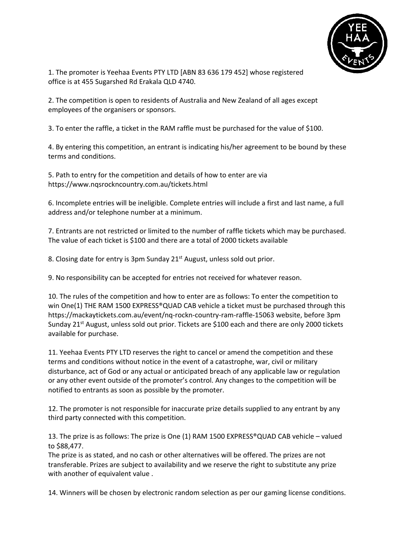

1. The promoter is Yeehaa Events PTY LTD [ABN 83 636 179 452] whose registered office is at 455 Sugarshed Rd Erakala QLD 4740.

2. The competition is open to residents of Australia and New Zealand of all ages except employees of the organisers or sponsors.

3. To enter the raffle, a ticket in the RAM raffle must be purchased for the value of \$100.

4. By entering this competition, an entrant is indicating his/her agreement to be bound by these terms and conditions.

5. Path to entry for the competition and details of how to enter are via https://www.nqsrockncountry.com.au/tickets.html

6. Incomplete entries will be ineligible. Complete entries will include a first and last name, a full address and/or telephone number at a minimum.

7. Entrants are not restricted or limited to the number of raffle tickets which may be purchased. The value of each ticket is \$100 and there are a total of 2000 tickets available

8. Closing date for entry is 3pm Sunday 21<sup>st</sup> August, unless sold out prior.

9. No responsibility can be accepted for entries not received for whatever reason.

10. The rules of the competition and how to enter are as follows: To enter the competition to win One(1) THE RAM 1500 EXPRESS® QUAD CAB vehicle a ticket must be purchased through this https://mackaytickets.com.au/event/nq-rockn-country-ram-raffle-15063 website, before 3pm Sunday 21<sup>st</sup> August, unless sold out prior. Tickets are \$100 each and there are only 2000 tickets available for purchase.

11. Yeehaa Events PTY LTD reserves the right to cancel or amend the competition and these terms and conditions without notice in the event of a catastrophe, war, civil or military disturbance, act of God or any actual or anticipated breach of any applicable law or regulation or any other event outside of the promoter's control. Any changes to the competition will be notified to entrants as soon as possible by the promoter.

12. The promoter is not responsible for inaccurate prize details supplied to any entrant by any third party connected with this competition.

13. The prize is as follows: The prize is One (1) RAM 1500 EXPRESS®QUAD CAB vehicle – valued to \$88,477.

The prize is as stated, and no cash or other alternatives will be offered. The prizes are not transferable. Prizes are subject to availability and we reserve the right to substitute any prize with another of equivalent value .

14. Winners will be chosen by electronic random selection as per our gaming license conditions.